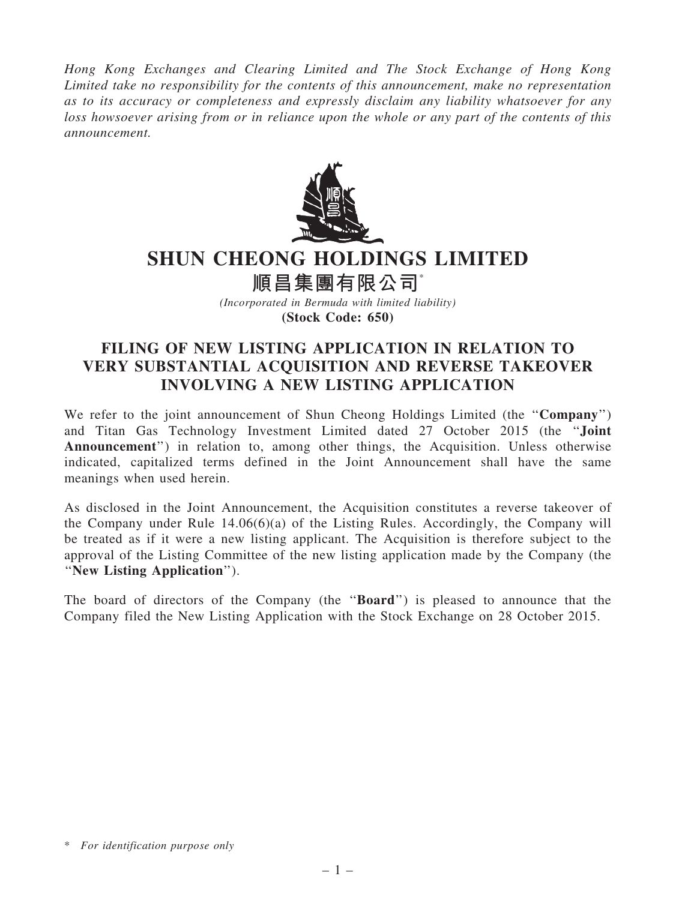Hong Kong Exchanges and Clearing Limited and The Stock Exchange of Hong Kong Limited take no responsibility for the contents of this announcement, make no representation as to its accuracy or completeness and expressly disclaim any liability whatsoever for any loss howsoever arising from or in reliance upon the whole or any part of the contents of this announcement.



## SHUN CHEONG HOLDINGS LIMITED

順昌集團有限公司\*

(Incorporated in Bermuda with limited liability) (Stock Code: 650)

## FILING OF NEW LISTING APPLICATION IN RELATION TO VERY SUBSTANTIAL ACQUISITION AND REVERSE TAKEOVER INVOLVING A NEW LISTING APPLICATION

We refer to the joint announcement of Shun Cheong Holdings Limited (the "Company") and Titan Gas Technology Investment Limited dated 27 October 2015 (the ''Joint Announcement'') in relation to, among other things, the Acquisition. Unless otherwise indicated, capitalized terms defined in the Joint Announcement shall have the same meanings when used herein.

As disclosed in the Joint Announcement, the Acquisition constitutes a reverse takeover of the Company under Rule 14.06(6)(a) of the Listing Rules. Accordingly, the Company will be treated as if it were a new listing applicant. The Acquisition is therefore subject to the approval of the Listing Committee of the new listing application made by the Company (the ''New Listing Application'').

The board of directors of the Company (the "**Board**") is pleased to announce that the Company filed the New Listing Application with the Stock Exchange on 28 October 2015.

<sup>\*</sup> For identification purpose only